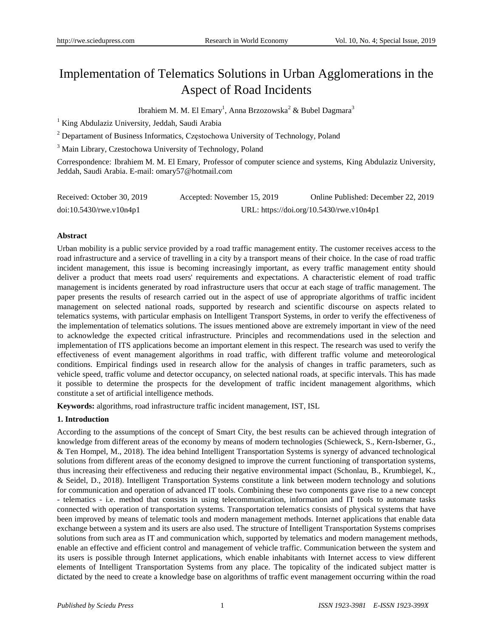# Implementation of Telematics Solutions in Urban Agglomerations in the Aspect of Road Incidents

Ibrahiem M. M. El Emary<sup>1</sup>, Anna Brzozowska<sup>2</sup> & Bubel Dagmara<sup>3</sup>

<sup>1</sup> King Abdulaziz University, Jeddah, Saudi Arabia

<sup>2</sup> Departament of Business Informatics, Częstochowa University of Technology, Poland

<sup>3</sup> Main Library, Czestochowa University of Technology, Poland

Correspondence: Ibrahiem M. M. El Emary, Professor of computer science and systems, King Abdulaziz University, Jeddah, Saudi Arabia. E-mail: omary57@hotmail.com

| Received: October 30, 2019    | Accepted: November 15, 2019 | Online Published: December 22, 2019      |
|-------------------------------|-----------------------------|------------------------------------------|
| $doi:10.5430$ /rwe.v $10n4p1$ |                             | URL: https://doi.org/10.5430/rwe.v10n4p1 |

# **Abstract**

Urban mobility is a public service provided by a road traffic management entity. The customer receives access to the road infrastructure and a service of travelling in a city by a transport means of their choice. In the case of road traffic incident management, this issue is becoming increasingly important, as every traffic management entity should deliver a product that meets road users' requirements and expectations. A characteristic element of road traffic management is incidents generated by road infrastructure users that occur at each stage of traffic management. The paper presents the results of research carried out in the aspect of use of appropriate algorithms of traffic incident management on selected national roads, supported by research and scientific discourse on aspects related to telematics systems, with particular emphasis on Intelligent Transport Systems, in order to verify the effectiveness of the implementation of telematics solutions. The issues mentioned above are extremely important in view of the need to acknowledge the expected critical infrastructure. Principles and recommendations used in the selection and implementation of ITS applications become an important element in this respect. The research was used to verify the effectiveness of event management algorithms in road traffic, with different traffic volume and meteorological conditions. Empirical findings used in research allow for the analysis of changes in traffic parameters, such as vehicle speed, traffic volume and detector occupancy, on selected national roads, at specific intervals. This has made it possible to determine the prospects for the development of traffic incident management algorithms, which constitute a set of artificial intelligence methods.

**Keywords:** algorithms, road infrastructure traffic incident management, IST, ISL

# **1. Introduction**

According to the assumptions of the concept of Smart City, the best results can be achieved through integration of knowledge from different areas of the economy by means of modern technologies (Schieweck, S., Kern-Isberner, G., & Ten Hompel, M., 2018). The idea behind Intelligent Transportation Systems is synergy of advanced technological solutions from different areas of the economy designed to improve the current functioning of transportation systems, thus increasing their effectiveness and reducing their negative environmental impact (Schonlau, B., Krumbiegel, K., & Seidel, D., 2018). Intelligent Transportation Systems constitute a link between modern technology and solutions for communication and operation of advanced IT tools. Combining these two components gave rise to a new concept - telematics - i.e. method that consists in using telecommunication, information and IT tools to automate tasks connected with operation of transportation systems. Transportation telematics consists of physical systems that have been improved by means of telematic tools and modern management methods. Internet applications that enable data exchange between a system and its users are also used. The structure of Intelligent Transportation Systems comprises solutions from such area as IT and communication which, supported by telematics and modern management methods, enable an effective and efficient control and management of vehicle traffic. Communication between the system and its users is possible through Internet applications, which enable inhabitants with Internet access to view different elements of Intelligent Transportation Systems from any place. The topicality of the indicated subject matter is dictated by the need to create a knowledge base on algorithms of traffic event management occurring within the road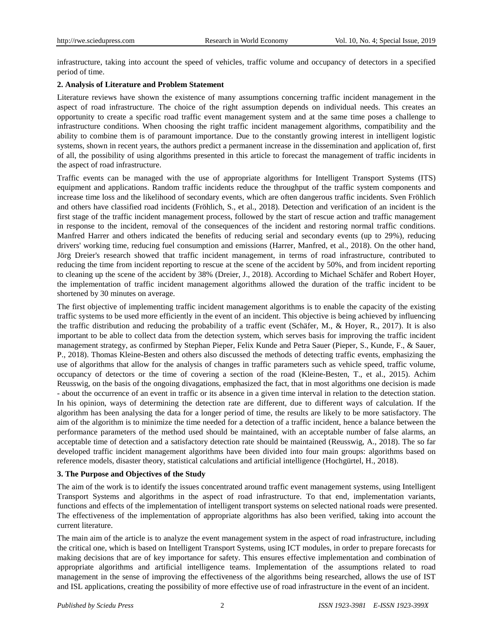infrastructure, taking into account the speed of vehicles, traffic volume and occupancy of detectors in a specified period of time.

# **2. Analysis of Literature and Problem Statement**

Literature reviews have shown the existence of many assumptions concerning traffic incident management in the aspect of road infrastructure. The choice of the right assumption depends on individual needs. This creates an opportunity to create a specific road traffic event management system and at the same time poses a challenge to infrastructure conditions. When choosing the right traffic incident management algorithms, compatibility and the ability to combine them is of paramount importance. Due to the constantly growing interest in intelligent logistic systems, shown in recent years, the authors predict a permanent increase in the dissemination and application of, first of all, the possibility of using algorithms presented in this article to forecast the management of traffic incidents in the aspect of road infrastructure.

Traffic events can be managed with the use of appropriate algorithms for Intelligent Transport Systems (ITS) equipment and applications. Random traffic incidents reduce the throughput of the traffic system components and increase time loss and the likelihood of secondary events, which are often dangerous traffic incidents. Sven Fröhlich and others have classified road incidents (Fröhlich, S., et al., 2018). Detection and verification of an incident is the first stage of the traffic incident management process, followed by the start of rescue action and traffic management in response to the incident, removal of the consequences of the incident and restoring normal traffic conditions. Manfred Harrer and others indicated the benefits of reducing serial and secondary events (up to 29%), reducing drivers' working time, reducing fuel consumption and emissions (Harrer, Manfred, et al., 2018). On the other hand, Jörg Dreier's research showed that traffic incident management, in terms of road infrastructure, contributed to reducing the time from incident reporting to rescue at the scene of the accident by 50%, and from incident reporting to cleaning up the scene of the accident by 38% (Dreier, J., 2018). According to Michael Schäfer and Robert Hoyer, the implementation of traffic incident management algorithms allowed the duration of the traffic incident to be shortened by 30 minutes on average.

The first objective of implementing traffic incident management algorithms is to enable the capacity of the existing traffic systems to be used more efficiently in the event of an incident. This objective is being achieved by influencing the traffic distribution and reducing the probability of a traffic event (Schäfer, M., & Hoyer, R., 2017). It is also important to be able to collect data from the detection system, which serves basis for improving the traffic incident management strategy, as confirmed by Stephan Pieper, Felix Kunde and Petra Sauer (Pieper, S., Kunde, F., & Sauer, P., 2018). Thomas Kleine-Besten and others also discussed the methods of detecting traffic events, emphasizing the use of algorithms that allow for the analysis of changes in traffic parameters such as vehicle speed, traffic volume, occupancy of detectors or the time of covering a section of the road (Kleine-Besten, T., et al., 2015). Achim Reusswig, on the basis of the ongoing divagations, emphasized the fact, that in most algorithms one decision is made - about the occurrence of an event in traffic or its absence in a given time interval in relation to the detection station. In his opinion, ways of determining the detection rate are different, due to different ways of calculation. If the algorithm has been analysing the data for a longer period of time, the results are likely to be more satisfactory. The aim of the algorithm is to minimize the time needed for a detection of a traffic incident, hence a balance between the performance parameters of the method used should be maintained, with an acceptable number of false alarms, an acceptable time of detection and a satisfactory detection rate should be maintained (Reusswig, A., 2018). The so far developed traffic incident management algorithms have been divided into four main groups: algorithms based on reference models, disaster theory, statistical calculations and artificial intelligence (Hochgürtel, H., 2018).

# **3. The Purpose and Objectives of the Study**

The aim of the work is to identify the issues concentrated around traffic event management systems, using Intelligent Transport Systems and algorithms in the aspect of road infrastructure. To that end, implementation variants, functions and effects of the implementation of intelligent transport systems on selected national roads were presented. The effectiveness of the implementation of appropriate algorithms has also been verified, taking into account the current literature.

The main aim of the article is to analyze the event management system in the aspect of road infrastructure, including the critical one, which is based on Intelligent Transport Systems, using ICT modules, in order to prepare forecasts for making decisions that are of key importance for safety. This ensures effective implementation and combination of appropriate algorithms and artificial intelligence teams. Implementation of the assumptions related to road management in the sense of improving the effectiveness of the algorithms being researched, allows the use of IST and ISL applications, creating the possibility of more effective use of road infrastructure in the event of an incident.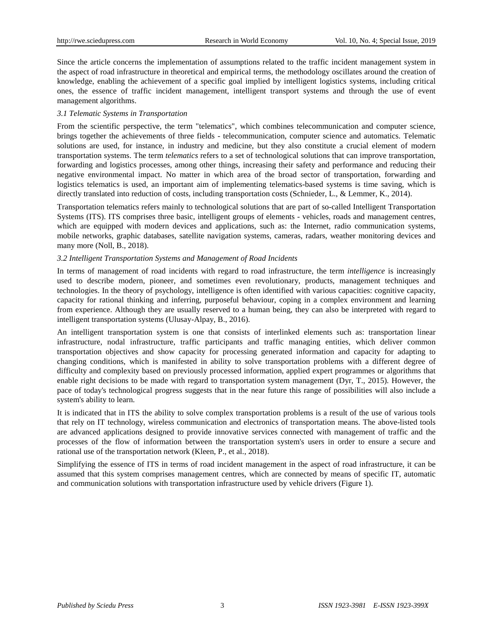Since the article concerns the implementation of assumptions related to the traffic incident management system in the aspect of road infrastructure in theoretical and empirical terms, the methodology oscillates around the creation of knowledge, enabling the achievement of a specific goal implied by intelligent logistics systems, including critical ones, the essence of traffic incident management, intelligent transport systems and through the use of event management algorithms.

#### *3.1 Telematic Systems in Transportation*

From the scientific perspective, the term "telematics", which combines telecommunication and computer science, brings together the achievements of three fields - telecommunication, computer science and automatics. Telematic solutions are used, for instance, in industry and medicine, but they also constitute a crucial element of modern transportation systems. The term *telematics* refers to a set of technological solutions that can improve transportation, forwarding and logistics processes, among other things, increasing their safety and performance and reducing their negative environmental impact. No matter in which area of the broad sector of transportation, forwarding and logistics telematics is used, an important aim of implementing telematics-based systems is time saving, which is directly translated into reduction of costs, including transportation costs (Schnieder, L., & Lemmer, K., 2014).

Transportation telematics refers mainly to technological solutions that are part of so-called Intelligent Transportation Systems (ITS). ITS comprises three basic, intelligent groups of elements - vehicles, roads and management centres, which are equipped with modern devices and applications, such as: the Internet, radio communication systems, mobile networks, graphic databases, satellite navigation systems, cameras, radars, weather monitoring devices and many more (Noll, B., 2018).

#### *3.2 Intelligent Transportation Systems and Management of Road Incidents*

In terms of management of road incidents with regard to road infrastructure, the term *intelligence* is increasingly used to describe modern, pioneer, and sometimes even revolutionary, products, management techniques and technologies. In the theory of psychology, intelligence is often identified with various capacities: cognitive capacity, capacity for rational thinking and inferring, purposeful behaviour, coping in a complex environment and learning from experience. Although they are usually reserved to a human being, they can also be interpreted with regard to intelligent transportation systems (Ulusay-Alpay, B., 2016).

An intelligent transportation system is one that consists of interlinked elements such as: transportation linear infrastructure, nodal infrastructure, traffic participants and traffic managing entities, which deliver common transportation objectives and show capacity for processing generated information and capacity for adapting to changing conditions, which is manifested in ability to solve transportation problems with a different degree of difficulty and complexity based on previously processed information, applied expert programmes or algorithms that enable right decisions to be made with regard to transportation system management (Dyr, T., 2015). However, the pace of today's technological progress suggests that in the near future this range of possibilities will also include a system's ability to learn.

It is indicated that in ITS the ability to solve complex transportation problems is a result of the use of various tools that rely on IT technology, wireless communication and electronics of transportation means. The above-listed tools are advanced applications designed to provide innovative services connected with management of traffic and the processes of the flow of information between the transportation system's users in order to ensure a secure and rational use of the transportation network (Kleen, P., et al., 2018).

Simplifying the essence of ITS in terms of road incident management in the aspect of road infrastructure, it can be assumed that this system comprises management centres, which are connected by means of specific IT, automatic and communication solutions with transportation infrastructure used by vehicle drivers (Figure 1).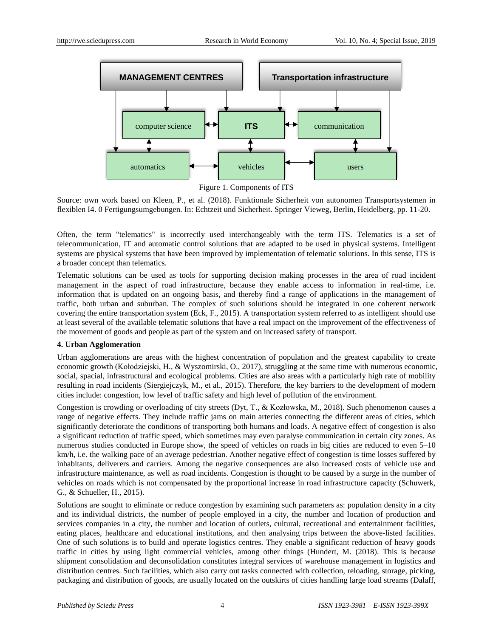

Figure 1. Components of ITS

Source: own work based on Kleen, P., et al. (2018). Funktionale Sicherheit von autonomen Transportsystemen in flexiblen I4. 0 Fertigungsumgebungen. In: Echtzeit und Sicherheit. Springer Vieweg, Berlin, Heidelberg, pp. 11-20.

Often, the term "telematics" is incorrectly used interchangeably with the term ITS. Telematics is a set of telecommunication, IT and automatic control solutions that are adapted to be used in physical systems. Intelligent systems are physical systems that have been improved by implementation of telematic solutions. In this sense, ITS is a broader concept than telematics.

Telematic solutions can be used as tools for supporting decision making processes in the area of road incident management in the aspect of road infrastructure, because they enable access to information in real-time, i.e. information that is updated on an ongoing basis, and thereby find a range of applications in the management of traffic, both urban and suburban. The complex of such solutions should be integrated in one coherent network covering the entire transportation system (Eck, F., 2015). A transportation system referred to as intelligent should use at least several of the available telematic solutions that have a real impact on the improvement of the effectiveness of the movement of goods and people as part of the system and on increased safety of transport.

# **4. Urban Agglomeration**

Urban agglomerations are areas with the highest concentration of population and the greatest capability to create economic growth (Kołodziejski, H., & Wyszomirski, O., 2017), struggling at the same time with numerous economic, social, spacial, infrastructural and ecological problems. Cities are also areas with a particularly high rate of mobility resulting in road incidents (Siergiejczyk, M., et al., 2015). Therefore, the key barriers to the development of modern cities include: congestion, low level of traffic safety and high level of pollution of the environment.

Congestion is crowding or overloading of city streets (Dyt, T., & Kozłowska, M., 2018). Such phenomenon causes a range of negative effects. They include traffic jams on main arteries connecting the different areas of cities, which significantly deteriorate the conditions of transporting both humans and loads. A negative effect of congestion is also a significant reduction of traffic speed, which sometimes may even paralyse communication in certain city zones. As numerous studies conducted in Europe show, the speed of vehicles on roads in big cities are reduced to even 5–10 km/h, i.e. the walking pace of an average pedestrian. Another negative effect of congestion is time losses suffered by inhabitants, deliverers and carriers. Among the negative consequences are also increased costs of vehicle use and infrastructure maintenance, as well as road incidents. Congestion is thought to be caused by a surge in the number of vehicles on roads which is not compensated by the proportional increase in road infrastructure capacity (Schuwerk, G., & Schueller, H., 2015).

Solutions are sought to eliminate or reduce congestion by examining such parameters as: population density in a city and its individual districts, the number of people employed in a city, the number and location of production and services companies in a city, the number and location of outlets, cultural, recreational and entertainment facilities, eating places, healthcare and educational institutions, and then analysing trips between the above-listed facilities. One of such solutions is to build and operate logistics centres. They enable a significant reduction of heavy goods traffic in cities by using light commercial vehicles, among other things (Hundert, M. (2018). This is because shipment consolidation and deconsolidation constitutes integral services of warehouse management in logistics and distribution centres. Such facilities, which also carry out tasks connected with collection, reloading, storage, picking, packaging and distribution of goods, are usually located on the outskirts of cities handling large load streams (Dalaff,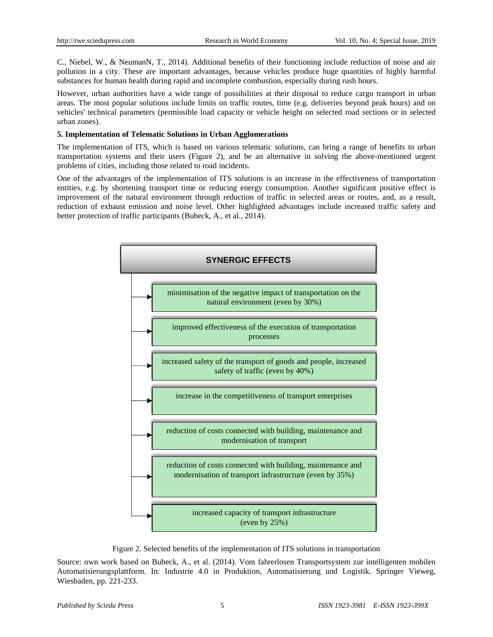C., Niebel, W., & NeumanN, T., 2014). Additional benefits of their functioning include reduction of noise and air pollution in a city. These are important advantages, because vehicles produce huge quantities of highly harmful substances for human health during rapid and incomplete combustion, especially during rush hours.

However, urban authorities have a wide range of possibilities at their disposal to reduce cargo transport in urban areas. The most popular solutions include limits on traffic routes, time (e.g. deliveries beyond peak hours) and on vehicles' technical parameters (permissible load capacity or vehicle height on selected road sections or in selected urban zones).

# **5. Implementation of Telematic Solutions in Urban Agglomerations**

The implementation of ITS, which is based on various telematic solutions, can bring a range of benefits to urban transportation systems and their users (Figure 2), and be an alternative in solving the above-mentioned urgent problems of cities, including those related to road incidents.

One of the advantages of the implementation of ITS solutions is an increase in the effectiveness of transportation entities, e.g. by shortening transport time or reducing energy consumption. Another significant positive effect is improvement of the natural environment through reduction of traffic in selected areas or routes, and, as a result, reduction of exhaust emission and noise level. Other highlighted advantages include increased traffic safety and better protection of traffic participants (Bubeck, A., et al., 2014).



Figure 2. Selected benefits of the implementation of ITS solutions in transportation

Source: own work based on Bubeck, A., et al. (2014). Vom fahrerlosen Transportsystem zur intelligenten mobilen Automatisierungsplattform. In: Industrie 4.0 in Produktion, Automatisierung und Logistik. Springer Vieweg, Wiesbaden, pp. 221-233.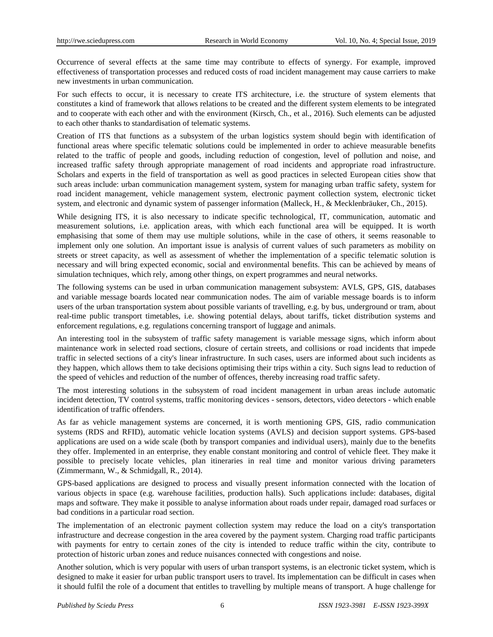Occurrence of several effects at the same time may contribute to effects of synergy. For example, improved effectiveness of transportation processes and reduced costs of road incident management may cause carriers to make new investments in urban communication.

For such effects to occur, it is necessary to create ITS architecture, i.e. the structure of system elements that constitutes a kind of framework that allows relations to be created and the different system elements to be integrated and to cooperate with each other and with the environment (Kirsch, Ch., et al., 2016). Such elements can be adjusted to each other thanks to standardisation of telematic systems.

Creation of ITS that functions as a subsystem of the urban logistics system should begin with identification of functional areas where specific telematic solutions could be implemented in order to achieve measurable benefits related to the traffic of people and goods, including reduction of congestion, level of pollution and noise, and increased traffic safety through appropriate management of road incidents and appropriate road infrastructure. Scholars and experts in the field of transportation as well as good practices in selected European cities show that such areas include: urban communication management system, system for managing urban traffic safety, system for road incident management, vehicle management system, electronic payment collection system, electronic ticket system, and electronic and dynamic system of passenger information (Malleck, H., & Mecklenbräuker, Ch., 2015).

While designing ITS, it is also necessary to indicate specific technological, IT, communication, automatic and measurement solutions, i.e. application areas, with which each functional area will be equipped. It is worth emphasising that some of them may use multiple solutions, while in the case of others, it seems reasonable to implement only one solution. An important issue is analysis of current values of such parameters as mobility on streets or street capacity, as well as assessment of whether the implementation of a specific telematic solution is necessary and will bring expected economic, social and environmental benefits. This can be achieved by means of simulation techniques, which rely, among other things, on expert programmes and neural networks.

The following systems can be used in urban communication management subsystem: AVLS, GPS, GIS, databases and variable message boards located near communication nodes. The aim of variable message boards is to inform users of the urban transportation system about possible variants of travelling, e.g. by bus, underground or tram, about real-time public transport timetables, i.e. showing potential delays, about tariffs, ticket distribution systems and enforcement regulations, e.g. regulations concerning transport of luggage and animals.

An interesting tool in the subsystem of traffic safety management is variable message signs, which inform about maintenance work in selected road sections, closure of certain streets, and collisions or road incidents that impede traffic in selected sections of a city's linear infrastructure. In such cases, users are informed about such incidents as they happen, which allows them to take decisions optimising their trips within a city. Such signs lead to reduction of the speed of vehicles and reduction of the number of offences, thereby increasing road traffic safety.

The most interesting solutions in the subsystem of road incident management in urban areas include automatic incident detection, TV control systems, traffic monitoring devices - sensors, detectors, video detectors - which enable identification of traffic offenders.

As far as vehicle management systems are concerned, it is worth mentioning GPS, GIS, radio communication systems (RDS and RFID), automatic vehicle location systems (AVLS) and decision support systems. GPS-based applications are used on a wide scale (both by transport companies and individual users), mainly due to the benefits they offer. Implemented in an enterprise, they enable constant monitoring and control of vehicle fleet. They make it possible to precisely locate vehicles, plan itineraries in real time and monitor various driving parameters (Zimmermann, W., & Schmidgall, R., 2014).

GPS-based applications are designed to process and visually present information connected with the location of various objects in space (e.g. warehouse facilities, production halls). Such applications include: databases, digital maps and software. They make it possible to analyse information about roads under repair, damaged road surfaces or bad conditions in a particular road section.

The implementation of an electronic payment collection system may reduce the load on a city's transportation infrastructure and decrease congestion in the area covered by the payment system. Charging road traffic participants with payments for entry to certain zones of the city is intended to reduce traffic within the city, contribute to protection of historic urban zones and reduce nuisances connected with congestions and noise.

Another solution, which is very popular with users of urban transport systems, is an electronic ticket system, which is designed to make it easier for urban public transport users to travel. Its implementation can be difficult in cases when it should fulfil the role of a document that entitles to travelling by multiple means of transport. A huge challenge for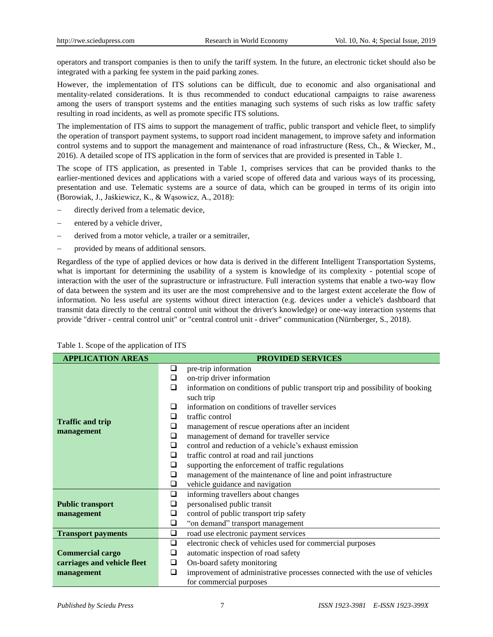operators and transport companies is then to unify the tariff system. In the future, an electronic ticket should also be integrated with a parking fee system in the paid parking zones.

However, the implementation of ITS solutions can be difficult, due to economic and also organisational and mentality-related considerations. It is thus recommended to conduct educational campaigns to raise awareness among the users of transport systems and the entities managing such systems of such risks as low traffic safety resulting in road incidents, as well as promote specific ITS solutions.

The implementation of ITS aims to support the management of traffic, public transport and vehicle fleet, to simplify the operation of transport payment systems, to support road incident management, to improve safety and information control systems and to support the management and maintenance of road infrastructure (Ress, Ch., & Wiecker, M., 2016). A detailed scope of ITS application in the form of services that are provided is presented in Table 1.

The scope of ITS application, as presented in Table 1, comprises services that can be provided thanks to the earlier-mentioned devices and applications with a varied scope of offered data and various ways of its processing, presentation and use. Telematic systems are a source of data, which can be grouped in terms of its origin into (Borowiak, J., Jaśkiewicz, K., & Wąsowicz, A., 2018):

- directly derived from a telematic device,
- entered by a vehicle driver,
- derived from a motor vehicle, a trailer or a semitrailer,
- provided by means of additional sensors.

Regardless of the type of applied devices or how data is derived in the different Intelligent Transportation Systems, what is important for determining the usability of a system is knowledge of its complexity - potential scope of interaction with the user of the suprastructure or infrastructure. Full interaction systems that enable a two-way flow of data between the system and its user are the most comprehensive and to the largest extent accelerate the flow of information. No less useful are systems without direct interaction (e.g. devices under a vehicle's dashboard that transmit data directly to the central control unit without the driver's knowledge) or one-way interaction systems that provide "driver - central control unit" or "central control unit - driver" communication (Nürnberger, S., 2018).

| <b>APPLICATION AREAS</b>              |   | <b>PROVIDED SERVICES</b>                                                      |  |  |  |  |
|---------------------------------------|---|-------------------------------------------------------------------------------|--|--|--|--|
|                                       | ❏ | pre-trip information                                                          |  |  |  |  |
|                                       | ❏ | on-trip driver information                                                    |  |  |  |  |
|                                       | □ | information on conditions of public transport trip and possibility of booking |  |  |  |  |
|                                       |   | such trip                                                                     |  |  |  |  |
|                                       | ⊔ | information on conditions of traveller services                               |  |  |  |  |
| <b>Traffic and trip</b><br>management | ❏ | traffic control                                                               |  |  |  |  |
|                                       | ❏ | management of rescue operations after an incident                             |  |  |  |  |
|                                       | ❏ | management of demand for traveller service                                    |  |  |  |  |
|                                       | ❏ | control and reduction of a vehicle's exhaust emission                         |  |  |  |  |
|                                       | ❏ | traffic control at road and rail junctions                                    |  |  |  |  |
|                                       | ❏ | supporting the enforcement of traffic regulations                             |  |  |  |  |
|                                       | ❏ | management of the maintenance of line and point infrastructure                |  |  |  |  |
|                                       | ❏ | vehicle guidance and navigation                                               |  |  |  |  |
|                                       | ❏ | informing travellers about changes                                            |  |  |  |  |
| <b>Public transport</b>               | ❏ | personalised public transit                                                   |  |  |  |  |
| management                            | ❏ | control of public transport trip safety                                       |  |  |  |  |
|                                       | ❏ | "on demand" transport management                                              |  |  |  |  |
| <b>Transport payments</b>             | ❏ | road use electronic payment services                                          |  |  |  |  |
|                                       | ❏ | electronic check of vehicles used for commercial purposes                     |  |  |  |  |
| <b>Commercial cargo</b>               | ❏ | automatic inspection of road safety                                           |  |  |  |  |
| carriages and vehicle fleet           | ❏ | On-board safety monitoring                                                    |  |  |  |  |
| management                            | ❏ | improvement of administrative processes connected with the use of vehicles    |  |  |  |  |
|                                       |   | for commercial purposes                                                       |  |  |  |  |

Table 1. Scope of the application of ITS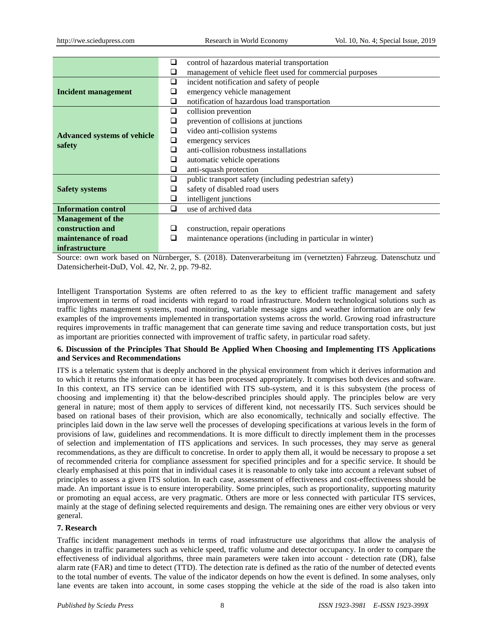|                                              | ⊔      | control of hazardous material transportation               |  |  |  |  |
|----------------------------------------------|--------|------------------------------------------------------------|--|--|--|--|
|                                              | ⊔      | management of vehicle fleet used for commercial purposes   |  |  |  |  |
| Incident management                          | ⊔      | incident notification and safety of people                 |  |  |  |  |
|                                              |        | emergency vehicle management                               |  |  |  |  |
|                                              | ⊔      | notification of hazardous load transportation              |  |  |  |  |
| <b>Advanced systems of vehicle</b><br>safety | ❏      | collision prevention                                       |  |  |  |  |
|                                              | ❏      | prevention of collisions at junctions                      |  |  |  |  |
|                                              | $\Box$ | video anti-collision systems                               |  |  |  |  |
|                                              | ❏      | emergency services                                         |  |  |  |  |
|                                              | ◻      | anti-collision robustness installations                    |  |  |  |  |
|                                              | ⊔      | automatic vehicle operations                               |  |  |  |  |
|                                              | ⊔      | anti-squash protection                                     |  |  |  |  |
| <b>Safety systems</b>                        | ❏      | public transport safety (including pedestrian safety)      |  |  |  |  |
|                                              |        | safety of disabled road users                              |  |  |  |  |
|                                              | ⊔      | intelligent junctions                                      |  |  |  |  |
| <b>Information control</b>                   | □      | use of archived data                                       |  |  |  |  |
| <b>Management of the</b>                     |        |                                                            |  |  |  |  |
| construction and                             |        | construction, repair operations                            |  |  |  |  |
| maintenance of road                          |        | maintenance operations (including in particular in winter) |  |  |  |  |
| <i>infrastructure</i>                        |        |                                                            |  |  |  |  |

Source: own work based on Nürnberger, S. (2018). Datenverarbeitung im (vernetzten) Fahrzeug. Datenschutz und Datensicherheit-DuD, Vol. 42, Nr. 2, pp. 79-82.

Intelligent Transportation Systems are often referred to as the key to efficient traffic management and safety improvement in terms of road incidents with regard to road infrastructure. Modern technological solutions such as traffic lights management systems, road monitoring, variable message signs and weather information are only few examples of the improvements implemented in transportation systems across the world. Growing road infrastructure requires improvements in traffic management that can generate time saving and reduce transportation costs, but just as important are priorities connected with improvement of traffic safety, in particular road safety.

#### **6. Discussion of the Principles That Should Be Applied When Choosing and Implementing ITS Applications and Services and Recommendations**

ITS is a telematic system that is deeply anchored in the physical environment from which it derives information and to which it returns the information once it has been processed appropriately. It comprises both devices and software. In this context, an ITS service can be identified with ITS sub-system, and it is this subsystem (the process of choosing and implementing it) that the below-described principles should apply. The principles below are very general in nature; most of them apply to services of different kind, not necessarily ITS. Such services should be based on rational bases of their provision, which are also economically, technically and socially effective. The principles laid down in the law serve well the processes of developing specifications at various levels in the form of provisions of law, guidelines and recommendations. It is more difficult to directly implement them in the processes of selection and implementation of ITS applications and services. In such processes, they may serve as general recommendations, as they are difficult to concretise. In order to apply them all, it would be necessary to propose a set of recommended criteria for compliance assessment for specified principles and for a specific service. It should be clearly emphasised at this point that in individual cases it is reasonable to only take into account a relevant subset of principles to assess a given ITS solution. In each case, assessment of effectiveness and cost-effectiveness should be made. An important issue is to ensure interoperability. Some principles, such as proportionality, supporting maturity or promoting an equal access, are very pragmatic. Others are more or less connected with particular ITS services, mainly at the stage of defining selected requirements and design. The remaining ones are either very obvious or very general.

# **7. Research**

Traffic incident management methods in terms of road infrastructure use algorithms that allow the analysis of changes in traffic parameters such as vehicle speed, traffic volume and detector occupancy. In order to compare the effectiveness of individual algorithms, three main parameters were taken into account - detection rate (DR), false alarm rate (FAR) and time to detect (TTD). The detection rate is defined as the ratio of the number of detected events to the total number of events. The value of the indicator depends on how the event is defined. In some analyses, only lane events are taken into account, in some cases stopping the vehicle at the side of the road is also taken into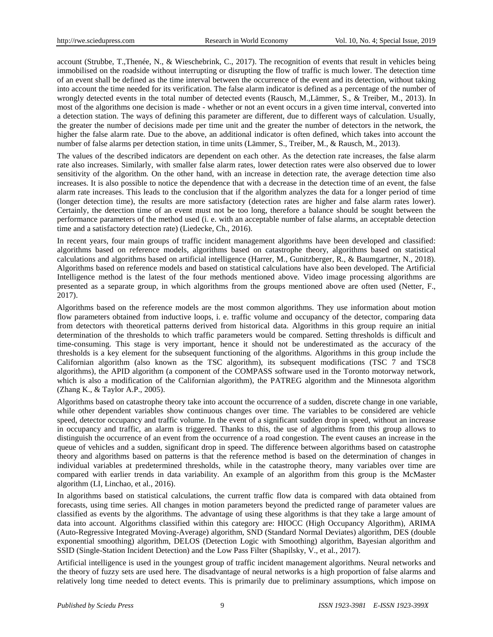account (Strubbe, T.,Thenée, N., & Wieschebrink, C., 2017). The recognition of events that result in vehicles being immobilised on the roadside without interrupting or disrupting the flow of traffic is much lower. The detection time of an event shall be defined as the time interval between the occurrence of the event and its detection, without taking into account the time needed for its verification. The false alarm indicator is defined as a percentage of the number of wrongly detected events in the total number of detected events (Rausch, M.,Lämmer, S., & Treiber, M., 2013). In most of the algorithms one decision is made - whether or not an event occurs in a given time interval, converted into a detection station. The ways of defining this parameter are different, due to different ways of calculation. Usually, the greater the number of decisions made per time unit and the greater the number of detectors in the network, the higher the false alarm rate. Due to the above, an additional indicator is often defined, which takes into account the number of false alarms per detection station, in time units (Lämmer, S., Treiber, M., & Rausch, M., 2013).

The values of the described indicators are dependent on each other. As the detection rate increases, the false alarm rate also increases. Similarly, with smaller false alarm rates, lower detection rates were also observed due to lower sensitivity of the algorithm. On the other hand, with an increase in detection rate, the average detection time also increases. It is also possible to notice the dependence that with a decrease in the detection time of an event, the false alarm rate increases. This leads to the conclusion that if the algorithm analyzes the data for a longer period of time (longer detection time), the results are more satisfactory (detection rates are higher and false alarm rates lower). Certainly, the detection time of an event must not be too long, therefore a balance should be sought between the performance parameters of the method used (i. e. with an acceptable number of false alarms, an acceptable detection time and a satisfactory detection rate) (Liedecke, Ch., 2016).

In recent years, four main groups of traffic incident management algorithms have been developed and classified: algorithms based on reference models, algorithms based on catastrophe theory, algorithms based on statistical calculations and algorithms based on artificial intelligence (Harrer, M., Gunitzberger, R., & Baumgartner, N., 2018). Algorithms based on reference models and based on statistical calculations have also been developed. The Artificial Intelligence method is the latest of the four methods mentioned above. Video image processing algorithms are presented as a separate group, in which algorithms from the groups mentioned above are often used (Netter, F., 2017).

Algorithms based on the reference models are the most common algorithms. They use information about motion flow parameters obtained from inductive loops, i. e. traffic volume and occupancy of the detector, comparing data from detectors with theoretical patterns derived from historical data. Algorithms in this group require an initial determination of the thresholds to which traffic parameters would be compared. Setting thresholds is difficult and time-consuming. This stage is very important, hence it should not be underestimated as the accuracy of the thresholds is a key element for the subsequent functioning of the algorithms. Algorithms in this group include the Californian algorithm (also known as the TSC algorithm), its subsequent modifications (TSC 7 and TSC8 algorithms), the APID algorithm (a component of the COMPASS software used in the Toronto motorway network, which is also a modification of the Californian algorithm), the PATREG algorithm and the Minnesota algorithm (Zhang K., & Taylor A.P., 2005).

Algorithms based on catastrophe theory take into account the occurrence of a sudden, discrete change in one variable, while other dependent variables show continuous changes over time. The variables to be considered are vehicle speed, detector occupancy and traffic volume. In the event of a significant sudden drop in speed, without an increase in occupancy and traffic, an alarm is triggered. Thanks to this, the use of algorithms from this group allows to distinguish the occurrence of an event from the occurrence of a road congestion. The event causes an increase in the queue of vehicles and a sudden, significant drop in speed. The difference between algorithms based on catastrophe theory and algorithms based on patterns is that the reference method is based on the determination of changes in individual variables at predetermined thresholds, while in the catastrophe theory, many variables over time are compared with earlier trends in data variability. An example of an algorithm from this group is the McMaster algorithm (LI, Linchao, et al., 2016).

In algorithms based on statistical calculations, the current traffic flow data is compared with data obtained from forecasts, using time series. All changes in motion parameters beyond the predicted range of parameter values are classified as events by the algorithms. The advantage of using these algorithms is that they take a large amount of data into account. Algorithms classified within this category are: HIOCC (High Occupancy Algorithm), ARIMA (Auto-Regressive Integrated Moving-Average) algorithm, SND (Standard Normal Deviates) algorithm, DES (double exponential smoothing) algorithm, DELOS (Detection Logic with Smoothing) algorithm, Bayesian algorithm and SSID (Single-Station Incident Detection) and the Low Pass Filter (Shapilsky, V., et al., 2017).

Artificial intelligence is used in the youngest group of traffic incident management algorithms. Neural networks and the theory of fuzzy sets are used here. The disadvantage of neural networks is a high proportion of false alarms and relatively long time needed to detect events. This is primarily due to preliminary assumptions, which impose on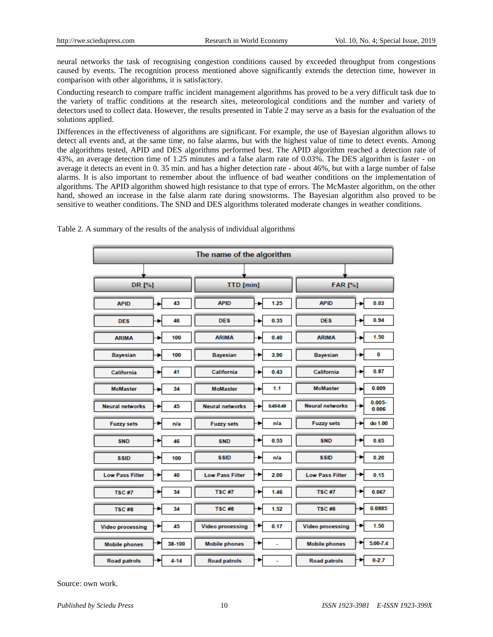neural networks the task of recognising congestion conditions caused by exceeded throughput from congestions caused by events. The recognition process mentioned above significantly extends the detection time, however in comparison with other algorithms, it is satisfactory.

Conducting research to compare traffic incident management algorithms has proved to be a very difficult task due to the variety of traffic conditions at the research sites, meteorological conditions and the number and variety of detectors used to collect data. However, the results presented in Table 2 may serve as a basis for the evaluation of the solutions applied.

Differences in the effectiveness of algorithms are significant. For example, the use of Bayesian algorithm allows to detect all events and, at the same time, no false alarms, but with the highest value of time to detect events. Among the algorithms tested, APID and DES algorithms performed best. The APID algorithm reached a detection rate of 43%, an average detection time of 1.25 minutes and a false alarm rate of 0.03%. The DES algorithm is faster - on average it detects an event in 0. 35 min. and has a higher detection rate - about 46%, but with a large number of false alarms. It is also important to remember about the influence of bad weather conditions on the implementation of algorithms. The APID algorithm showed high resistance to that type of errors. The McMaster algorithm, on the other hand, showed an increase in the false alarm rate during snowstorms. The Bayesian algorithm also proved to be sensitive to weather conditions. The SND and DES algorithms tolerated moderate changes in weather conditions.

| The name of the algorithm |  |          |                         |  |                |                         |  |                    |
|---------------------------|--|----------|-------------------------|--|----------------|-------------------------|--|--------------------|
|                           |  |          |                         |  |                |                         |  |                    |
| DR [%]                    |  |          | <b>TTD</b> [min]        |  | <b>FAR [%]</b> |                         |  |                    |
| <b>APID</b>               |  | 43       | <b>APID</b>             |  | 1.25           | <b>APID</b>             |  | 0.03               |
| <b>DES</b>                |  | 46       | <b>DES</b>              |  | 0.35           | <b>DES</b>              |  | 0.94               |
| <b>ARIMA</b>              |  | 100      | <b>ARIMA</b>            |  | 0.40           | <b>ARIMA</b>            |  | 1.50               |
| <b>Bayesian</b>           |  | 100      | <b>Bayesian</b>         |  | 3.90           | <b>Bayesian</b>         |  | 0                  |
| California                |  | 41       | <b>California</b>       |  | 0.43           | <b>California</b>       |  | 0.87               |
| <b>McMaster</b>           |  | 34       | <b>McMaster</b>         |  | 1.1            | <b>McMaster</b>         |  | 0.009              |
| <b>Neural networks</b>    |  | 45       | <b>Neural networks</b>  |  | 0.45 0.48      | <b>Neural networks</b>  |  | $0.005 -$<br>0.006 |
| <b>Fuzzy sets</b>         |  | n/a      | <b>Fuzzy sets</b>       |  | n/a            | <b>Fuzzy sets</b>       |  | do 1.00            |
| <b>SND</b>                |  | 46       | <b>SND</b>              |  | 0.55           | <b>SND</b>              |  | 0.65               |
| <b>SSID</b>               |  | 100      | <b>SSID</b>             |  | n/a            | <b>SSID</b>             |  | 0.20               |
| <b>Low Pass Filter</b>    |  | 40       | <b>Low Pass Filter</b>  |  | 2.00           | <b>Low Pass Filter</b>  |  | 0.15               |
| <b>TSC#7</b>              |  | 34       | <b>TSC#7</b>            |  | 1.46           | <b>TSC#7</b>            |  | 0.067              |
| <b>TSC#8</b>              |  | 34       | <b>TSC#8</b>            |  | 1.52           | <b>TSC#8</b>            |  | 0.0885             |
| <b>Video processing</b>   |  | 45       | <b>Video processing</b> |  | 0.17           | <b>Video processing</b> |  | 1.50               |
| <b>Mobile phones</b>      |  | 38-100   | <b>Mobile phones</b>    |  | Ξ              | <b>Mobile phones</b>    |  | 5.00-7.4           |
| <b>Road patrols</b>       |  | $4 - 14$ | <b>Road patrols</b>     |  | ۰              | <b>Road patrols</b>     |  | $0 - 2.7$          |

Table 2. A summary of the results of the analysis of individual algorithms

Source: own work.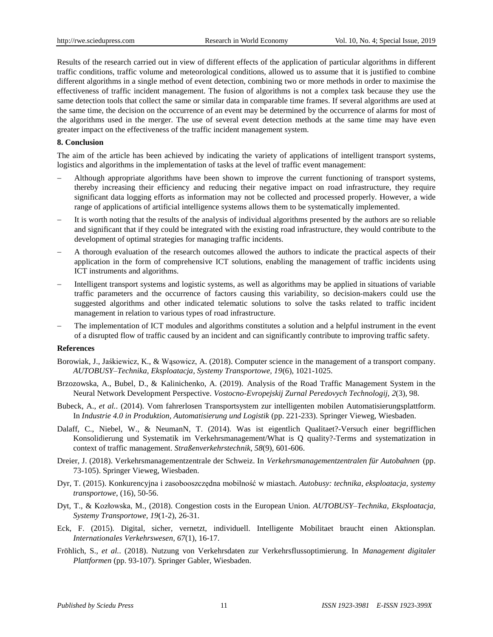Results of the research carried out in view of different effects of the application of particular algorithms in different traffic conditions, traffic volume and meteorological conditions, allowed us to assume that it is justified to combine different algorithms in a single method of event detection, combining two or more methods in order to maximise the effectiveness of traffic incident management. The fusion of algorithms is not a complex task because they use the same detection tools that collect the same or similar data in comparable time frames. If several algorithms are used at the same time, the decision on the occurrence of an event may be determined by the occurrence of alarms for most of the algorithms used in the merger. The use of several event detection methods at the same time may have even greater impact on the effectiveness of the traffic incident management system.

#### **8. Conclusion**

The aim of the article has been achieved by indicating the variety of applications of intelligent transport systems, logistics and algorithms in the implementation of tasks at the level of traffic event management:

- Although appropriate algorithms have been shown to improve the current functioning of transport systems, thereby increasing their efficiency and reducing their negative impact on road infrastructure, they require significant data logging efforts as information may not be collected and processed properly. However, a wide range of applications of artificial intelligence systems allows them to be systematically implemented.
- It is worth noting that the results of the analysis of individual algorithms presented by the authors are so reliable and significant that if they could be integrated with the existing road infrastructure, they would contribute to the development of optimal strategies for managing traffic incidents.
- A thorough evaluation of the research outcomes allowed the authors to indicate the practical aspects of their application in the form of comprehensive ICT solutions, enabling the management of traffic incidents using ICT instruments and algorithms.
- Intelligent transport systems and logistic systems, as well as algorithms may be applied in situations of variable traffic parameters and the occurrence of factors causing this variability, so decision-makers could use the suggested algorithms and other indicated telematic solutions to solve the tasks related to traffic incident management in relation to various types of road infrastructure.
- The implementation of ICT modules and algorithms constitutes a solution and a helpful instrument in the event of a disrupted flow of traffic caused by an incident and can significantly contribute to improving traffic safety.

#### **References**

- Borowiak, J., Jaśkiewicz, K., & Wąsowicz, A. (2018). Computer science in the management of a transport company. *AUTOBUSY–Technika, Eksploatacja, Systemy Transportowe, 19*(6), 1021-1025.
- Brzozowska, A., Bubel, D., & Kalinichenko, A. (2019). Analysis of the Road Traffic Management System in the Neural Network Development Perspective. *Vostocno-Evropejskij Zurnal Peredovych Technologij, 2*(3), 98.
- Bubeck, A., *et al.*. (2014). Vom fahrerlosen Transportsystem zur intelligenten mobilen Automatisierungsplattform. In *Industrie 4.0 in Produktion, Automatisierung und Logistik* (pp. 221-233). Springer Vieweg, Wiesbaden.
- Dalaff, C., Niebel, W., & NeumanN, T. (2014). Was ist eigentlich Qualitaet?-Versuch einer begrifflichen Konsolidierung und Systematik im Verkehrsmanagement/What is Q quality?-Terms and systematization in context of traffic management. *Straßenverkehrstechnik, 58*(9), 601-606.
- Dreier, J. (2018). Verkehrsmanagementzentrale der Schweiz. In *Verkehrsmanagementzentralen für Autobahnen* (pp. 73-105). Springer Vieweg, Wiesbaden.
- Dyr, T. (2015). Konkurencyjna i zasobooszczędna mobilność w miastach. *Autobusy: technika, eksploatacja, systemy transportowe*, (16), 50-56.
- Dyt, T., & Kozłowska, M., (2018). Congestion costs in the European Union. *AUTOBUSY–Technika, Eksploatacja, Systemy Transportowe, 19*(1-2), 26-31.
- Eck, F. (2015). Digital, sicher, vernetzt, individuell. Intelligente Mobilitaet braucht einen Aktionsplan. *Internationales Verkehrswesen, 67*(1), 16-17.
- Fröhlich, S., *et al.*. (2018). Nutzung von Verkehrsdaten zur Verkehrsflussoptimierung. In *Management digitaler Plattformen* (pp. 93-107). Springer Gabler, Wiesbaden.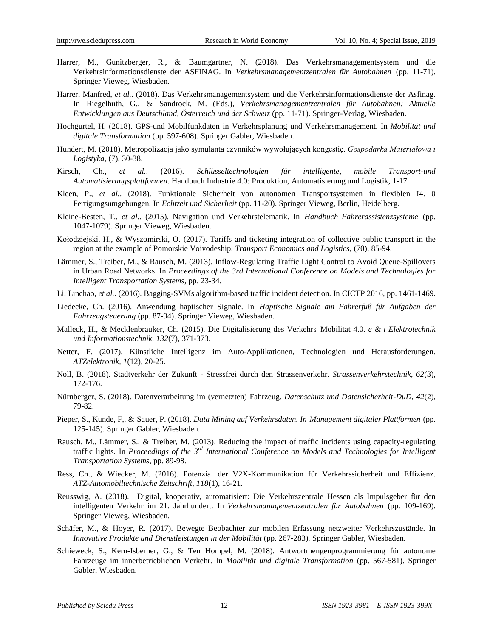- Harrer, M., Gunitzberger, R., & Baumgartner, N. (2018). Das Verkehrsmanagementsystem und die Verkehrsinformationsdienste der ASFINAG. In *Verkehrsmanagementzentralen für Autobahnen* (pp. 11-71). Springer Vieweg, Wiesbaden.
- Harrer, Manfred, *et al.*. (2018). Das Verkehrsmanagementsystem und die Verkehrsinformationsdienste der Asfinag. In Riegelhuth, G., & Sandrock, M. (Eds.), *Verkehrsmanagementzentralen für Autobahnen: Aktuelle Entwicklungen aus Deutschland, Österreich und der Schweiz* (pp. 11-71). Springer-Verlag, Wiesbaden.
- Hochgürtel, H. (2018). GPS-und Mobilfunkdaten in Verkehrsplanung und Verkehrsmanagement. In *Mobilität und digitale Transformation* (pp. 597-608). Springer Gabler, Wiesbaden.
- Hundert, M. (2018). Metropolizacja jako symulanta czynników wywołujących kongestię. *Gospodarka Materiałowa i Logistyka*, (7), 30-38.
- Kirsch, Ch., *et al.*. (2016). *Schlüsseltechnologien für intelligente, mobile Transport-und Automatisierungsplattformen*. Handbuch Industrie 4.0: Produktion, Automatisierung und Logistik, 1-17.
- Kleen, P., *et al.*. (2018). Funktionale Sicherheit von autonomen Transportsystemen in flexiblen I4. 0 Fertigungsumgebungen. In *Echtzeit und Sicherheit* (pp. 11-20). Springer Vieweg, Berlin, Heidelberg.
- Kleine-Besten, T., *et al.*. (2015). Navigation und Verkehrstelematik. In *Handbuch Fahrerassistenzsysteme* (pp. 1047-1079). Springer Vieweg, Wiesbaden.
- Kołodziejski, H., & Wyszomirski, O. (2017). Tariffs and ticketing integration of collective public transport in the region at the example of Pomorskie Voivodeship. *Transport Economics and Logistics*, (70), 85-94.
- Lämmer, S., Treiber, M., & Rausch, M. (2013). Inflow-Regulating Traffic Light Control to Avoid Queue-Spillovers in Urban Road Networks. In *Proceedings of the 3rd International Conference on Models and Technologies for Intelligent Transportation Systems*, pp. 23-34.
- Li, Linchao, *et al.*. (2016). Bagging-SVMs algorithm-based traffic incident detection. In CICTP 2016, pp. 1461-1469.
- Liedecke, Ch. (2016). Anwendung haptischer Signale. In *Haptische Signale am Fahrerfuß für Aufgaben der Fahrzeugsteuerung* (pp. 87-94). Springer Vieweg, Wiesbaden.
- Malleck, H., & Mecklenbräuker, Ch. (2015). Die Digitalisierung des Verkehrs–Mobilität 4.0. *e & i Elektrotechnik und Informationstechnik, 132*(7), 371-373.
- Netter, F. (2017). Künstliche Intelligenz im Auto-Applikationen, Technologien und Herausforderungen. *ATZelektronik, 1*(12), 20-25.
- Noll, B. (2018). Stadtverkehr der Zukunft Stressfrei durch den Strassenverkehr. *Strassenverkehrstechnik, 62*(3), 172-176.
- Nürnberger, S. (2018). Datenverarbeitung im (vernetzten) Fahrzeug. *Datenschutz und Datensicherheit-DuD, 42*(2), 79-82.
- Pieper, S., Kunde, F,. & Sauer, P. (2018). *Data Mining auf Verkehrsdaten. In Management digitaler Plattformen* (pp. 125-145). Springer Gabler, Wiesbaden.
- Rausch, M., Lämmer, S., & Treiber, M. (2013). Reducing the impact of traffic incidents using capacity-regulating traffic lights. In *Proceedings of the 3rd International Conference on Models and Technologies for Intelligent Transportation Systems*, pp. 89-98.
- Ress, Ch., & Wiecker, M. (2016). Potenzial der V2X-Kommunikation für Verkehrssicherheit und Effizienz. *ATZ-Automobiltechnische Zeitschrift, 118*(1), 16-21.
- Reusswig, A. (2018). Digital, kooperativ, automatisiert: Die Verkehrszentrale Hessen als Impulsgeber für den intelligenten Verkehr im 21. Jahrhundert. In *Verkehrsmanagementzentralen für Autobahnen* (pp. 109-169). Springer Vieweg, Wiesbaden.
- Schäfer, M., & Hoyer, R. (2017). Bewegte Beobachter zur mobilen Erfassung netzweiter Verkehrszustände. In *Innovative Produkte und Dienstleistungen in der Mobilität* (pp. 267-283). Springer Gabler, Wiesbaden.
- Schieweck, S., Kern-Isberner, G., & Ten Hompel, M. (2018). Antwortmengenprogrammierung für autonome Fahrzeuge im innerbetrieblichen Verkehr. In *Mobilität und digitale Transformation* (pp. 567-581). Springer Gabler, Wiesbaden.